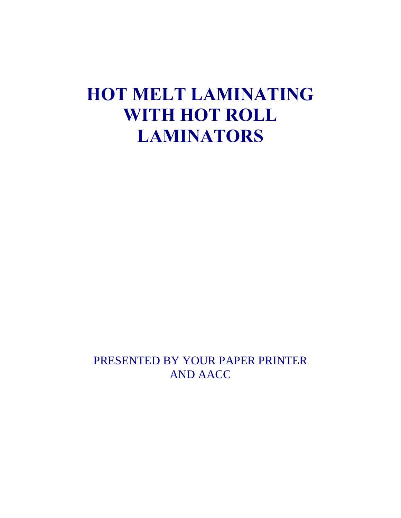# **HOT MELT LAMINATING WITH HOT ROLL LAMINATORS**

PRESENTED BY YOUR PAPER PRINTER AND AACC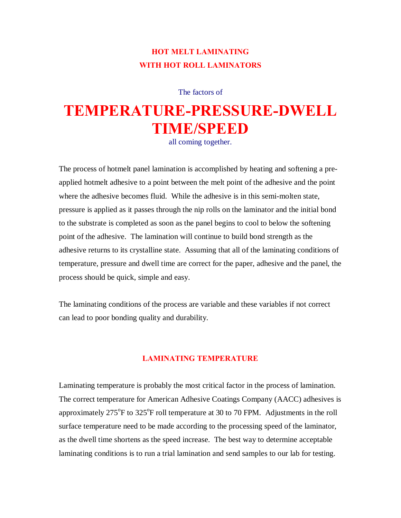# **HOT MELT LAMINATING WITH HOT ROLL LAMINATORS**

The factors of

# **TEMPERATURE-PRESSURE-DWELL TIME/SPEED**

all coming together.

The process of hotmelt panel lamination is accomplished by heating and softening a preapplied hotmelt adhesive to a point between the melt point of the adhesive and the point where the adhesive becomes fluid. While the adhesive is in this semi-molten state, pressure is applied as it passes through the nip rolls on the laminator and the initial bond to the substrate is completed as soon as the panel begins to cool to below the softening point of the adhesive. The lamination will continue to build bond strength as the adhesive returns to its crystalline state. Assuming that all of the laminating conditions of temperature, pressure and dwell time are correct for the paper, adhesive and the panel, the process should be quick, simple and easy.

The laminating conditions of the process are variable and these variables if not correct can lead to poor bonding quality and durability.

## **LAMINATING TEMPERATURE**

Laminating temperature is probably the most critical factor in the process of lamination. The correct temperature for American Adhesive Coatings Company (AACC) adhesives is approximately  $275^{\circ}$ F to  $325^{\circ}$ F roll temperature at 30 to 70 FPM. Adjustments in the roll surface temperature need to be made according to the processing speed of the laminator, as the dwell time shortens as the speed increase. The best way to determine acceptable laminating conditions is to run a trial lamination and send samples to our lab for testing.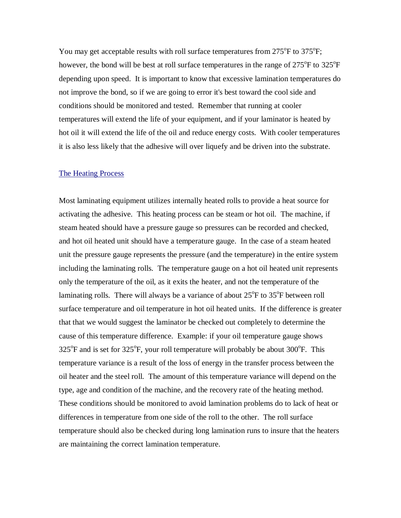You may get acceptable results with roll surface temperatures from  $275^{\circ}$ F to  $375^{\circ}$ F; however, the bond will be best at roll surface temperatures in the range of  $275^{\circ}$ F to  $325^{\circ}$ F depending upon speed. It is important to know that excessive lamination temperatures do not improve the bond, so if we are going to error it's best toward the cool side and conditions should be monitored and tested. Remember that running at cooler temperatures will extend the life of your equipment, and if your laminator is heated by hot oil it will extend the life of the oil and reduce energy costs. With cooler temperatures it is also less likely that the adhesive will over liquefy and be driven into the substrate.

#### The Heating Process

Most laminating equipment utilizes internally heated rolls to provide a heat source for activating the adhesive. This heating process can be steam or hot oil. The machine, if steam heated should have a pressure gauge so pressures can be recorded and checked, and hot oil heated unit should have a temperature gauge. In the case of a steam heated unit the pressure gauge represents the pressure (and the temperature) in the entire system including the laminating rolls. The temperature gauge on a hot oil heated unit represents only the temperature of the oil, as it exits the heater, and not the temperature of the laminating rolls. There will always be a variance of about  $25^{\circ}$ F to  $35^{\circ}$ F between roll surface temperature and oil temperature in hot oil heated units. If the difference is greater that that we would suggest the laminator be checked out completely to determine the cause of this temperature difference. Example: if your oil temperature gauge shows  $325^{\circ}$ F and is set for  $325^{\circ}$ F, your roll temperature will probably be about  $300^{\circ}$ F. This temperature variance is a result of the loss of energy in the transfer process between the oil heater and the steel roll. The amount of this temperature variance will depend on the type, age and condition of the machine, and the recovery rate of the heating method. These conditions should be monitored to avoid lamination problems do to lack of heat or differences in temperature from one side of the roll to the other. The roll surface temperature should also be checked during long lamination runs to insure that the heaters are maintaining the correct lamination temperature.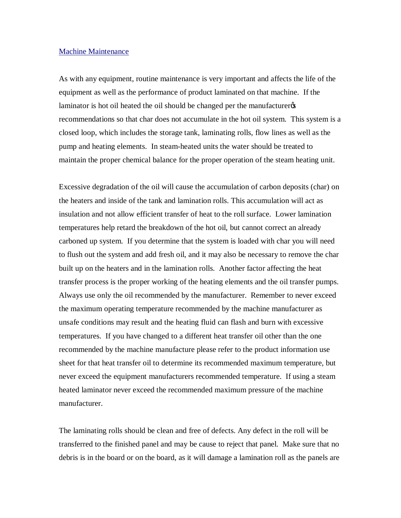#### Machine Maintenance

As with any equipment, routine maintenance is very important and affects the life of the equipment as well as the performance of product laminated on that machine. If the laminator is hot oil heated the oil should be changed per the manufacturer recommendations so that char does not accumulate in the hot oil system. This system is a closed loop, which includes the storage tank, laminating rolls, flow lines as well as the pump and heating elements. In steam-heated units the water should be treated to maintain the proper chemical balance for the proper operation of the steam heating unit.

Excessive degradation of the oil will cause the accumulation of carbon deposits (char) on the heaters and inside of the tank and lamination rolls. This accumulation will act as insulation and not allow efficient transfer of heat to the roll surface. Lower lamination temperatures help retard the breakdown of the hot oil, but cannot correct an already carboned up system. If you determine that the system is loaded with char you will need to flush out the system and add fresh oil, and it may also be necessary to remove the char built up on the heaters and in the lamination rolls. Another factor affecting the heat transfer process is the proper working of the heating elements and the oil transfer pumps. Always use only the oil recommended by the manufacturer. Remember to never exceed the maximum operating temperature recommended by the machine manufacturer as unsafe conditions may result and the heating fluid can flash and burn with excessive temperatures. If you have changed to a different heat transfer oil other than the one recommended by the machine manufacture please refer to the product information use sheet for that heat transfer oil to determine its recommended maximum temperature, but never exceed the equipment manufacturers recommended temperature. If using a steam heated laminator never exceed the recommended maximum pressure of the machine manufacturer.

The laminating rolls should be clean and free of defects. Any defect in the roll will be transferred to the finished panel and may be cause to reject that panel. Make sure that no debris is in the board or on the board, as it will damage a lamination roll as the panels are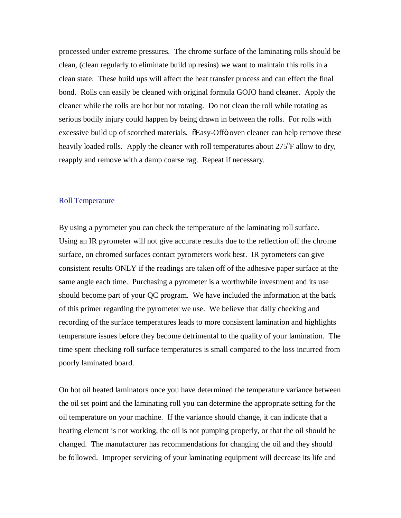processed under extreme pressures. The chrome surface of the laminating rolls should be clean, (clean regularly to eliminate build up resins) we want to maintain this rolls in a clean state. These build ups will affect the heat transfer process and can effect the final bond. Rolls can easily be cleaned with original formula GOJO hand cleaner. Apply the cleaner while the rolls are hot but not rotating. Do not clean the roll while rotating as serious bodily injury could happen by being drawn in between the rolls. For rolls with excessive build up of scorched materials,  $\delta$ Easy-Offö oven cleaner can help remove these heavily loaded rolls. Apply the cleaner with roll temperatures about 275<sup>o</sup>F allow to dry, reapply and remove with a damp coarse rag. Repeat if necessary.

#### Roll Temperature

By using a pyrometer you can check the temperature of the laminating roll surface. Using an IR pyrometer will not give accurate results due to the reflection off the chrome surface, on chromed surfaces contact pyrometers work best. IR pyrometers can give consistent results ONLY if the readings are taken off of the adhesive paper surface at the same angle each time. Purchasing a pyrometer is a worthwhile investment and its use should become part of your QC program. We have included the information at the back of this primer regarding the pyrometer we use. We believe that daily checking and recording of the surface temperatures leads to more consistent lamination and highlights temperature issues before they become detrimental to the quality of your lamination. The time spent checking roll surface temperatures is small compared to the loss incurred from poorly laminated board.

On hot oil heated laminators once you have determined the temperature variance between the oil set point and the laminating roll you can determine the appropriate setting for the oil temperature on your machine. If the variance should change, it can indicate that a heating element is not working, the oil is not pumping properly, or that the oil should be changed. The manufacturer has recommendations for changing the oil and they should be followed. Improper servicing of your laminating equipment will decrease its life and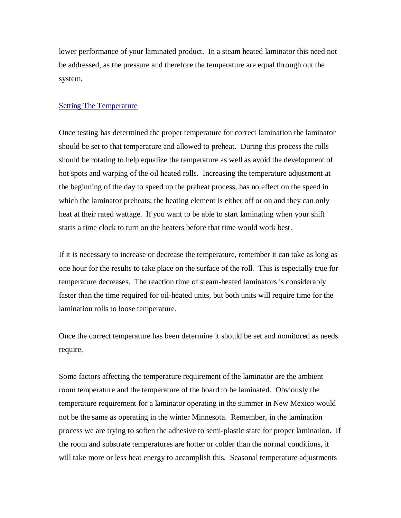lower performance of your laminated product. In a steam heated laminator this need not be addressed, as the pressure and therefore the temperature are equal through out the system.

#### Setting The Temperature

Once testing has determined the proper temperature for correct lamination the laminator should be set to that temperature and allowed to preheat. During this process the rolls should be rotating to help equalize the temperature as well as avoid the development of hot spots and warping of the oil heated rolls. Increasing the temperature adjustment at the beginning of the day to speed up the preheat process, has no effect on the speed in which the laminator preheats; the heating element is either off or on and they can only heat at their rated wattage. If you want to be able to start laminating when your shift starts a time clock to turn on the heaters before that time would work best.

If it is necessary to increase or decrease the temperature, remember it can take as long as one hour for the results to take place on the surface of the roll. This is especially true for temperature decreases. The reaction time of steam-heated laminators is considerably faster than the time required for oil-heated units, but both units will require time for the lamination rolls to loose temperature.

Once the correct temperature has been determine it should be set and monitored as needs require.

Some factors affecting the temperature requirement of the laminator are the ambient room temperature and the temperature of the board to be laminated. Obviously the temperature requirement for a laminator operating in the summer in New Mexico would not be the same as operating in the winter Minnesota. Remember, in the lamination process we are trying to soften the adhesive to semi-plastic state for proper lamination. If the room and substrate temperatures are hotter or colder than the normal conditions, it will take more or less heat energy to accomplish this. Seasonal temperature adjustments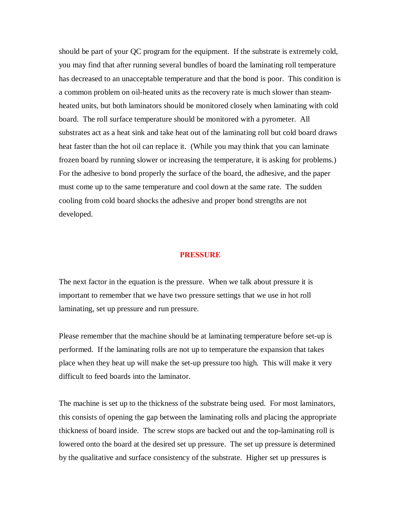should be part of your QC program for the equipment. If the substrate is extremely cold, you may find that after running several bundles of board the laminating roll temperature has decreased to an unacceptable temperature and that the bond is poor. This condition is a common problem on oil-heated units as the recovery rate is much slower than steamheated units, but both laminators should be monitored closely when laminating with cold board. The roll surface temperature should be monitored with a pyrometer. All substrates act as a heat sink and take heat out of the laminating roll but cold board draws heat faster than the hot oil can replace it. (While you may think that you can laminate frozen board by running slower or increasing the temperature, it is asking for problems.) For the adhesive to bond properly the surface of the board, the adhesive, and the paper must come up to the same temperature and cool down at the same rate. The sudden cooling from cold board shocks the adhesive and proper bond strengths are not developed.

#### **PRESSURE**

The next factor in the equation is the pressure. When we talk about pressure it is important to remember that we have two pressure settings that we use in hot roll laminating, set up pressure and run pressure.

Please remember that the machine should be at laminating temperature before set-up is performed. If the laminating rolls are not up to temperature the expansion that takes place when they heat up will make the set-up pressure too high. This will make it very difficult to feed boards into the laminator.

The machine is set up to the thickness of the substrate being used. For most laminators, this consists of opening the gap between the laminating rolls and placing the appropriate thickness of board inside. The screw stops are backed out and the top-laminating roll is lowered onto the board at the desired set up pressure. The set up pressure is determined by the qualitative and surface consistency of the substrate. Higher set up pressures is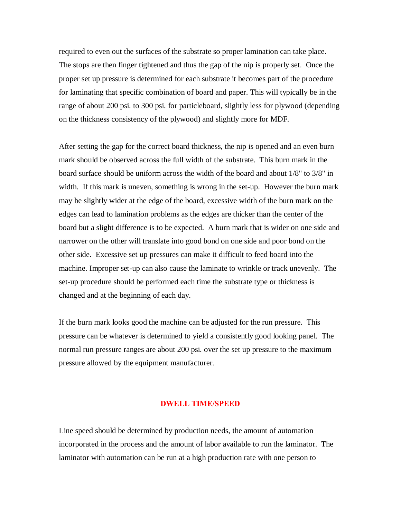required to even out the surfaces of the substrate so proper lamination can take place. The stops are then finger tightened and thus the gap of the nip is properly set. Once the proper set up pressure is determined for each substrate it becomes part of the procedure for laminating that specific combination of board and paper. This will typically be in the range of about 200 psi. to 300 psi. for particleboard, slightly less for plywood (depending on the thickness consistency of the plywood) and slightly more for MDF.

After setting the gap for the correct board thickness, the nip is opened and an even burn mark should be observed across the full width of the substrate. This burn mark in the board surface should be uniform across the width of the board and about 1/8" to 3/8" in width. If this mark is uneven, something is wrong in the set-up. However the burn mark may be slightly wider at the edge of the board, excessive width of the burn mark on the edges can lead to lamination problems as the edges are thicker than the center of the board but a slight difference is to be expected. A burn mark that is wider on one side and narrower on the other will translate into good bond on one side and poor bond on the other side. Excessive set up pressures can make it difficult to feed board into the machine. Improper set-up can also cause the laminate to wrinkle or track unevenly. The set-up procedure should be performed each time the substrate type or thickness is changed and at the beginning of each day.

If the burn mark looks good the machine can be adjusted for the run pressure. This pressure can be whatever is determined to yield a consistently good looking panel. The normal run pressure ranges are about 200 psi. over the set up pressure to the maximum pressure allowed by the equipment manufacturer.

#### **DWELL TIME/SPEED**

Line speed should be determined by production needs, the amount of automation incorporated in the process and the amount of labor available to run the laminator. The laminator with automation can be run at a high production rate with one person to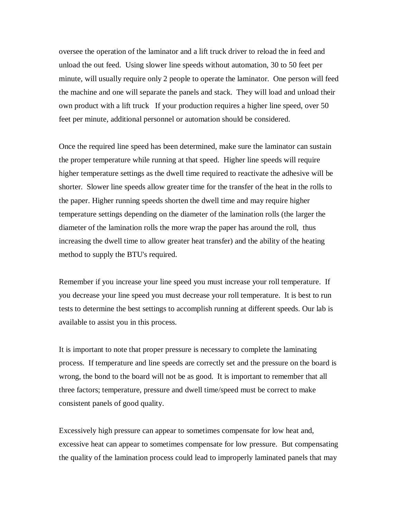oversee the operation of the laminator and a lift truck driver to reload the in feed and unload the out feed. Using slower line speeds without automation, 30 to 50 feet per minute, will usually require only 2 people to operate the laminator. One person will feed the machine and one will separate the panels and stack. They will load and unload their own product with a lift truck If your production requires a higher line speed, over 50 feet per minute, additional personnel or automation should be considered.

Once the required line speed has been determined, make sure the laminator can sustain the proper temperature while running at that speed. Higher line speeds will require higher temperature settings as the dwell time required to reactivate the adhesive will be shorter. Slower line speeds allow greater time for the transfer of the heat in the rolls to the paper. Higher running speeds shorten the dwell time and may require higher temperature settings depending on the diameter of the lamination rolls (the larger the diameter of the lamination rolls the more wrap the paper has around the roll, thus increasing the dwell time to allow greater heat transfer) and the ability of the heating method to supply the BTU's required.

Remember if you increase your line speed you must increase your roll temperature. If you decrease your line speed you must decrease your roll temperature. It is best to run tests to determine the best settings to accomplish running at different speeds. Our lab is available to assist you in this process.

It is important to note that proper pressure is necessary to complete the laminating process. If temperature and line speeds are correctly set and the pressure on the board is wrong, the bond to the board will not be as good. It is important to remember that all three factors; temperature, pressure and dwell time/speed must be correct to make consistent panels of good quality.

Excessively high pressure can appear to sometimes compensate for low heat and, excessive heat can appear to sometimes compensate for low pressure. But compensating the quality of the lamination process could lead to improperly laminated panels that may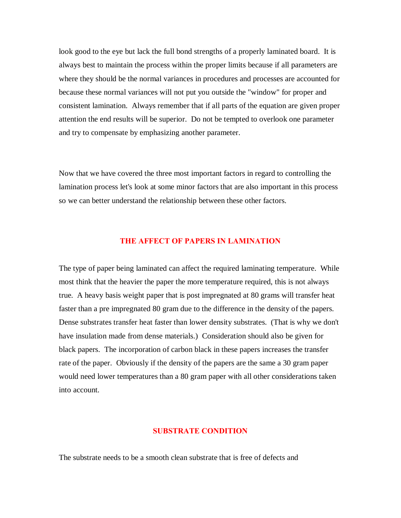look good to the eye but lack the full bond strengths of a properly laminated board. It is always best to maintain the process within the proper limits because if all parameters are where they should be the normal variances in procedures and processes are accounted for because these normal variances will not put you outside the "window" for proper and consistent lamination. Always remember that if all parts of the equation are given proper attention the end results will be superior. Do not be tempted to overlook one parameter and try to compensate by emphasizing another parameter.

Now that we have covered the three most important factors in regard to controlling the lamination process let's look at some minor factors that are also important in this process so we can better understand the relationship between these other factors.

### **THE AFFECT OF PAPERS IN LAMINATION**

The type of paper being laminated can affect the required laminating temperature. While most think that the heavier the paper the more temperature required, this is not always true. A heavy basis weight paper that is post impregnated at 80 grams will transfer heat faster than a pre impregnated 80 gram due to the difference in the density of the papers. Dense substrates transfer heat faster than lower density substrates. (That is why we don't have insulation made from dense materials.) Consideration should also be given for black papers. The incorporation of carbon black in these papers increases the transfer rate of the paper. Obviously if the density of the papers are the same a 30 gram paper would need lower temperatures than a 80 gram paper with all other considerations taken into account.

#### **SUBSTRATE CONDITION**

The substrate needs to be a smooth clean substrate that is free of defects and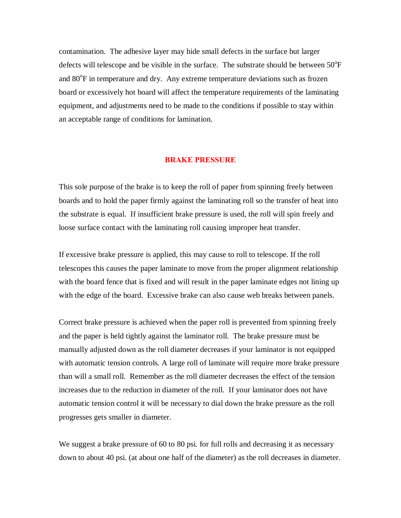contamination. The adhesive layer may hide small defects in the surface but larger defects will telescope and be visible in the surface. The substrate should be between  $50^{\circ}$ F and  $80^{\circ}$ F in temperature and dry. Any extreme temperature deviations such as frozen board or excessively hot board will affect the temperature requirements of the laminating equipment, and adjustments need to be made to the conditions if possible to stay within an acceptable range of conditions for lamination.

#### **BRAKE PRESSURE**

This sole purpose of the brake is to keep the roll of paper from spinning freely between boards and to hold the paper firmly against the laminating roll so the transfer of heat into the substrate is equal. If insufficient brake pressure is used, the roll will spin freely and loose surface contact with the laminating roll causing improper heat transfer.

If excessive brake pressure is applied, this may cause to roll to telescope. If the roll telescopes this causes the paper laminate to move from the proper alignment relationship with the board fence that is fixed and will result in the paper laminate edges not lining up with the edge of the board. Excessive brake can also cause web breaks between panels.

Correct brake pressure is achieved when the paper roll is prevented from spinning freely and the paper is held tightly against the laminator roll. The brake pressure must be manually adjusted down as the roll diameter decreases if your laminator is not equipped with automatic tension controls. A large roll of laminate will require more brake pressure than will a small roll. Remember as the roll diameter decreases the effect of the tension increases due to the reduction in diameter of the roll. If your laminator does not have automatic tension control it will be necessary to dial down the brake pressure as the roll progresses gets smaller in diameter.

We suggest a brake pressure of 60 to 80 psi. for full rolls and decreasing it as necessary down to about 40 psi. (at about one half of the diameter) as the roll decreases in diameter.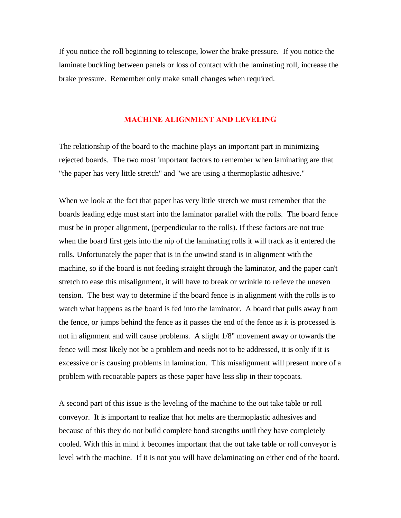If you notice the roll beginning to telescope, lower the brake pressure. If you notice the laminate buckling between panels or loss of contact with the laminating roll, increase the brake pressure. Remember only make small changes when required.

#### **MACHINE ALIGNMENT AND LEVELING**

The relationship of the board to the machine plays an important part in minimizing rejected boards. The two most important factors to remember when laminating are that "the paper has very little stretch" and "we are using a thermoplastic adhesive."

When we look at the fact that paper has very little stretch we must remember that the boards leading edge must start into the laminator parallel with the rolls. The board fence must be in proper alignment, (perpendicular to the rolls). If these factors are not true when the board first gets into the nip of the laminating rolls it will track as it entered the rolls. Unfortunately the paper that is in the unwind stand is in alignment with the machine, so if the board is not feeding straight through the laminator, and the paper can't stretch to ease this misalignment, it will have to break or wrinkle to relieve the uneven tension. The best way to determine if the board fence is in alignment with the rolls is to watch what happens as the board is fed into the laminator. A board that pulls away from the fence, or jumps behind the fence as it passes the end of the fence as it is processed is not in alignment and will cause problems. A slight 1/8" movement away or towards the fence will most likely not be a problem and needs not to be addressed, it is only if it is excessive or is causing problems in lamination. This misalignment will present more of a problem with recoatable papers as these paper have less slip in their topcoats.

A second part of this issue is the leveling of the machine to the out take table or roll conveyor. It is important to realize that hot melts are thermoplastic adhesives and because of this they do not build complete bond strengths until they have completely cooled. With this in mind it becomes important that the out take table or roll conveyor is level with the machine. If it is not you will have delaminating on either end of the board.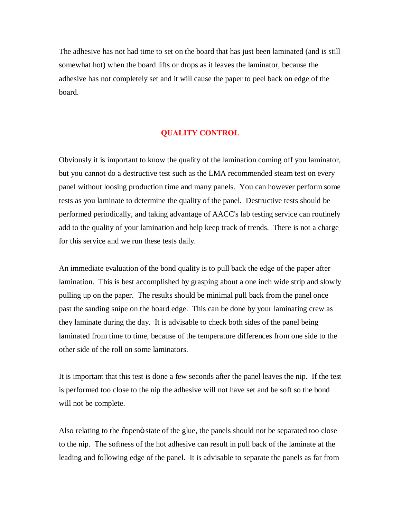The adhesive has not had time to set on the board that has just been laminated (and is still somewhat hot) when the board lifts or drops as it leaves the laminator, because the adhesive has not completely set and it will cause the paper to peel back on edge of the board.

# **QUALITY CONTROL**

Obviously it is important to know the quality of the lamination coming off you laminator, but you cannot do a destructive test such as the LMA recommended steam test on every panel without loosing production time and many panels. You can however perform some tests as you laminate to determine the quality of the panel. Destructive tests should be performed periodically, and taking advantage of AACC's lab testing service can routinely add to the quality of your lamination and help keep track of trends. There is not a charge for this service and we run these tests daily.

An immediate evaluation of the bond quality is to pull back the edge of the paper after lamination. This is best accomplished by grasping about a one inch wide strip and slowly pulling up on the paper. The results should be minimal pull back from the panel once past the sanding snipe on the board edge. This can be done by your laminating crew as they laminate during the day. It is advisable to check both sides of the panel being laminated from time to time, because of the temperature differences from one side to the other side of the roll on some laminators.

It is important that this test is done a few seconds after the panel leaves the nip. If the test is performed too close to the nip the adhesive will not have set and be soft so the bond will not be complete.

Also relating to the  $\tilde{\text{op}}$  copen state of the glue, the panels should not be separated too close to the nip. The softness of the hot adhesive can result in pull back of the laminate at the leading and following edge of the panel. It is advisable to separate the panels as far from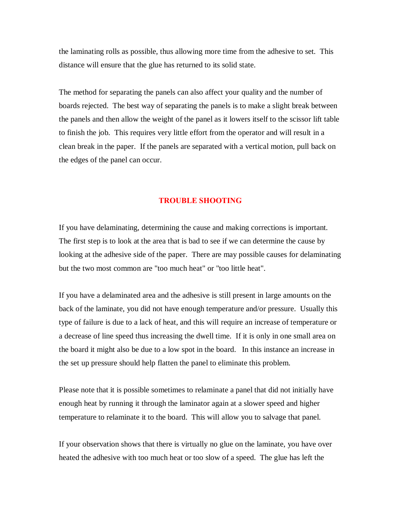the laminating rolls as possible, thus allowing more time from the adhesive to set. This distance will ensure that the glue has returned to its solid state.

The method for separating the panels can also affect your quality and the number of boards rejected. The best way of separating the panels is to make a slight break between the panels and then allow the weight of the panel as it lowers itself to the scissor lift table to finish the job. This requires very little effort from the operator and will result in a clean break in the paper. If the panels are separated with a vertical motion, pull back on the edges of the panel can occur.

#### **TROUBLE SHOOTING**

If you have delaminating, determining the cause and making corrections is important. The first step is to look at the area that is bad to see if we can determine the cause by looking at the adhesive side of the paper. There are may possible causes for delaminating but the two most common are "too much heat" or "too little heat".

If you have a delaminated area and the adhesive is still present in large amounts on the back of the laminate, you did not have enough temperature and/or pressure. Usually this type of failure is due to a lack of heat, and this will require an increase of temperature or a decrease of line speed thus increasing the dwell time. If it is only in one small area on the board it might also be due to a low spot in the board. In this instance an increase in the set up pressure should help flatten the panel to eliminate this problem.

Please note that it is possible sometimes to relaminate a panel that did not initially have enough heat by running it through the laminator again at a slower speed and higher temperature to relaminate it to the board. This will allow you to salvage that panel.

If your observation shows that there is virtually no glue on the laminate, you have over heated the adhesive with too much heat or too slow of a speed. The glue has left the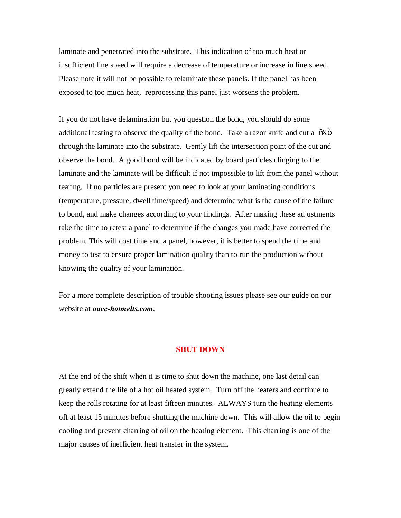laminate and penetrated into the substrate. This indication of too much heat or insufficient line speed will require a decrease of temperature or increase in line speed. Please note it will not be possible to relaminate these panels. If the panel has been exposed to too much heat, reprocessing this panel just worsens the problem.

If you do not have delamination but you question the bond, you should do some additional testing to observe the quality of the bond. Take a razor knife and cut a  $\tilde{o}X\tilde{o}$ through the laminate into the substrate. Gently lift the intersection point of the cut and observe the bond. A good bond will be indicated by board particles clinging to the laminate and the laminate will be difficult if not impossible to lift from the panel without tearing. If no particles are present you need to look at your laminating conditions (temperature, pressure, dwell time/speed) and determine what is the cause of the failure to bond, and make changes according to your findings. After making these adjustments take the time to retest a panel to determine if the changes you made have corrected the problem. This will cost time and a panel, however, it is better to spend the time and money to test to ensure proper lamination quality than to run the production without knowing the quality of your lamination.

For a more complete description of trouble shooting issues please see our guide on our website at *aacc-hotmelts.com*.

## **SHUT DOWN**

At the end of the shift when it is time to shut down the machine, one last detail can greatly extend the life of a hot oil heated system. Turn off the heaters and continue to keep the rolls rotating for at least fifteen minutes. ALWAYS turn the heating elements off at least 15 minutes before shutting the machine down. This will allow the oil to begin cooling and prevent charring of oil on the heating element. This charring is one of the major causes of inefficient heat transfer in the system.